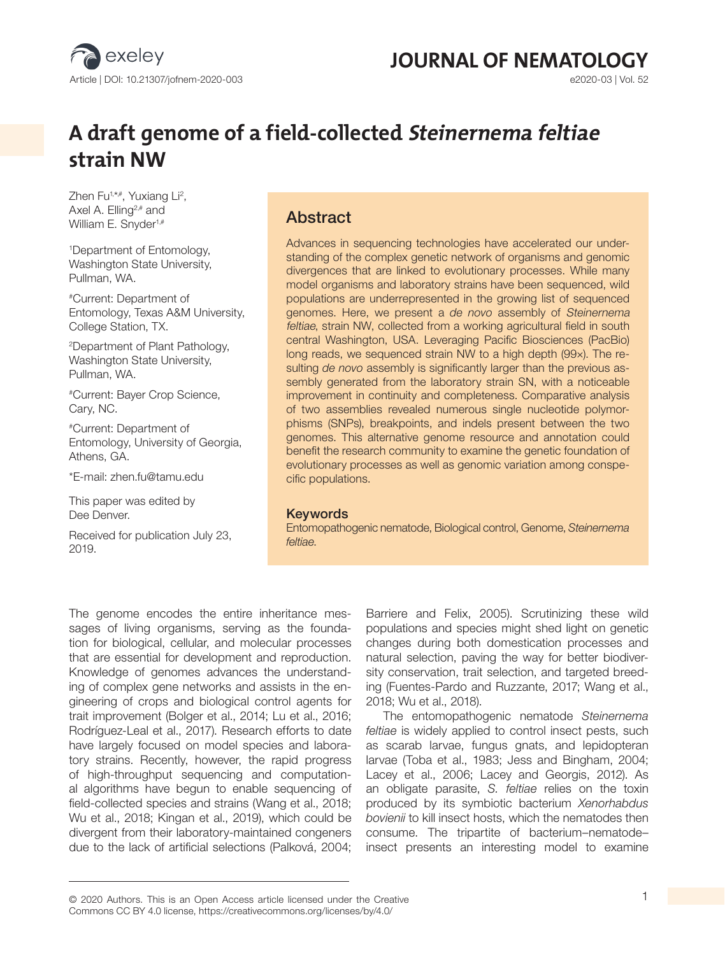

# **JOURNAL OF NEMATOLOGY**<br> **BZD20-03** | Vol. 52

# **A draft genome of a field-collected Steinernema feltiae strain NW**

Zhen Fu1,\*,#, Yuxiang Li<sup>2</sup>, Axel A. Elling<sup>2,#</sup> and William E. Snyder<sup>1,#</sup>

1 Department of Entomology, Washington State University, Pullman, WA.

#Current: Department of Entomology, Texas A&M University, College Station, TX.

2 Department of Plant Pathology, Washington State University, Pullman, WA.

#Current: Bayer Crop Science, Cary, NC.

#Current: Department of Entomology, University of Georgia, Athens, GA.

\*E-mail: zhen.fu@tamu.edu

This paper was edited by Dee Denver.

Received for publication July 23, 2019.

#### Abstract

Advances in sequencing technologies have accelerated our understanding of the complex genetic network of organisms and genomic divergences that are linked to evolutionary processes. While many model organisms and laboratory strains have been sequenced, wild populations are underrepresented in the growing list of sequenced genomes. Here, we present a *de novo* assembly of Steinernema feltiae, strain NW, collected from a working agricultural field in south central Washington, USA. Leveraging Pacific Biosciences (PacBio) long reads, we sequenced strain NW to a high depth (99×). The resulting *de novo* assembly is significantly larger than the previous assembly generated from the laboratory strain SN, with a noticeable improvement in continuity and completeness. Comparative analysis of two assemblies revealed numerous single nucleotide polymorphisms (SNPs), breakpoints, and indels present between the two genomes. This alternative genome resource and annotation could benefit the research community to examine the genetic foundation of evolutionary processes as well as genomic variation among conspecific populations.

#### Keywords

Entomopathogenic nematode, Biological control, Genome, *Steinernema feltiae*.

The genome encodes the entire inheritance messages of living organisms, serving as the foundation for biological, cellular, and molecular processes that are essential for development and reproduction. Knowledge of genomes advances the understanding of complex gene networks and assists in the engineering of crops and biological control agents for trait improvement (Bolger et al., 2014; Lu et al., 2016; Rodríguez-Leal et al., 2017). Research efforts to date have largely focused on model species and laboratory strains. Recently, however, the rapid progress of high-throughput sequencing and computational algorithms have begun to enable sequencing of field-collected species and strains (Wang et al., 2018; Wu et al., 2018; Kingan et al., 2019), which could be divergent from their laboratory-maintained congeners due to the lack of artificial selections (Palková, 2004;

Barriere and Felix, 2005). Scrutinizing these wild populations and species might shed light on genetic changes during both domestication processes and natural selection, paving the way for better biodiversity conservation, trait selection, and targeted breeding (Fuentes-Pardo and Ruzzante, 2017; Wang et al., 2018; Wu et al., 2018).

The entomopathogenic nematode *Steinernema feltiae* is widely applied to control insect pests, such as scarab larvae, fungus gnats, and lepidopteran larvae (Toba et al., 1983; Jess and Bingham, 2004; Lacey et al., 2006; Lacey and Georgis, 2012). As an obligate parasite, *S. feltiae* relies on the toxin produced by its symbiotic bacterium *Xenorhabdus bovienii* to kill insect hosts, which the nematodes then consume. The tripartite of bacterium–nematode– insect presents an interesting model to examine

© 2020 Authors. This is an Open Access article licensed under the Creative 1 Commons CC BY 4.0 license, https://creativecommons.org/licenses/by/4.0/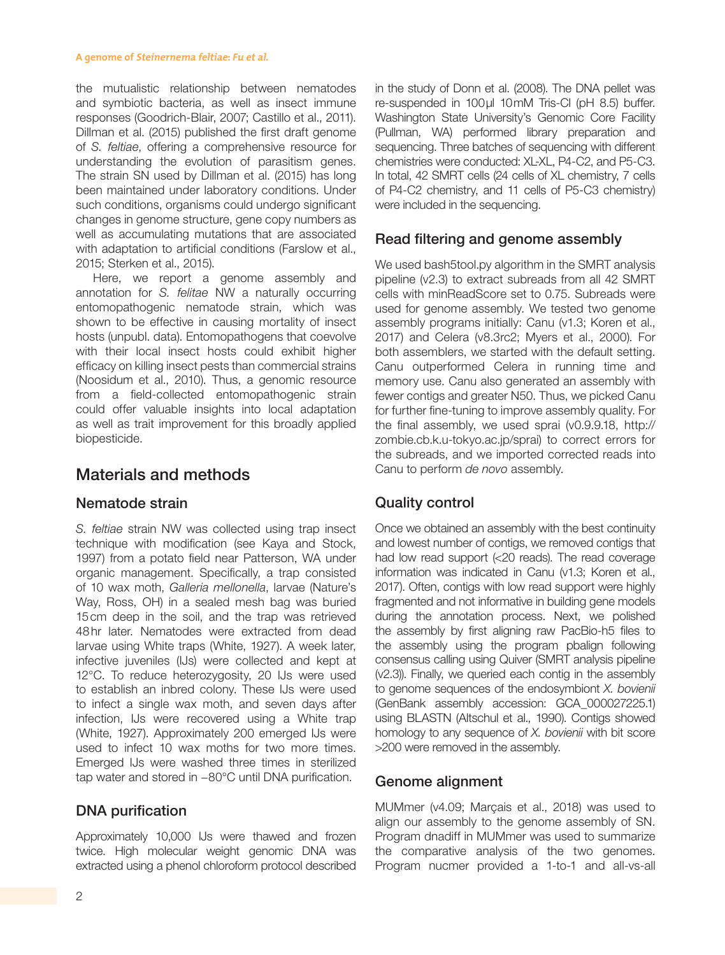#### **A genome of Steinernema feltiae: Fu et al.**

the mutualistic relationship between nematodes and symbiotic bacteria, as well as insect immune responses (Goodrich-Blair, 2007; Castillo et al., 2011). Dillman et al. (2015) published the first draft genome of *S. feltiae*, offering a comprehensive resource for understanding the evolution of parasitism genes. The strain SN used by Dillman et al. (2015) has long been maintained under laboratory conditions. Under such conditions, organisms could undergo significant changes in genome structure, gene copy numbers as well as accumulating mutations that are associated with adaptation to artificial conditions (Farslow et al., 2015; Sterken et al., 2015).

Here, we report a genome assembly and annotation for *S. felitae* NW a naturally occurring entomopathogenic nematode strain, which was shown to be effective in causing mortality of insect hosts (unpubl. data). Entomopathogens that coevolve with their local insect hosts could exhibit higher efficacy on killing insect pests than commercial strains (Noosidum et al., 2010). Thus, a genomic resource from a field-collected entomopathogenic strain could offer valuable insights into local adaptation as well as trait improvement for this broadly applied biopesticide.

## Materials and methods

#### Nematode strain

*S. feltiae* strain NW was collected using trap insect technique with modification (see Kaya and Stock, 1997) from a potato field near Patterson, WA under organic management. Specifically, a trap consisted of 10 wax moth, *Galleria mellonella*, larvae (Nature's Way, Ross, OH) in a sealed mesh bag was buried 15cm deep in the soil, and the trap was retrieved 48hr later. Nematodes were extracted from dead larvae using White traps (White, 1927). A week later, infective juveniles (IJs) were collected and kept at 12°C. To reduce heterozygosity, 20 IJs were used to establish an inbred colony. These IJs were used to infect a single wax moth, and seven days after infection, IJs were recovered using a White trap (White, 1927). Approximately 200 emerged IJs were used to infect 10 wax moths for two more times. Emerged IJs were washed three times in sterilized tap water and stored in −80°C until DNA purification.

#### DNA purification

Approximately 10,000 IJs were thawed and frozen twice. High molecular weight genomic DNA was extracted using a phenol chloroform protocol described in the study of Donn et al. (2008). The DNA pellet was re-suspended in 100µl 10mM Tris-Cl (pH 8.5) buffer. Washington State University's Genomic Core Facility (Pullman, WA) performed library preparation and sequencing. Three batches of sequencing with different chemistries were conducted: XL-XL, P4-C2, and P5-C3. In total, 42 SMRT cells (24 cells of XL chemistry, 7 cells of P4-C2 chemistry, and 11 cells of P5-C3 chemistry) were included in the sequencing.

#### Read filtering and genome assembly

We used bash5tool.py algorithm in the SMRT analysis pipeline (v2.3) to extract subreads from all 42 SMRT cells with minReadScore set to 0.75. Subreads were used for genome assembly. We tested two genome assembly programs initially: Canu (v1.3; Koren et al., 2017) and Celera (v8.3rc2; Myers et al., 2000). For both assemblers, we started with the default setting. Canu outperformed Celera in running time and memory use. Canu also generated an assembly with fewer contigs and greater N50. Thus, we picked Canu for further fine-tuning to improve assembly quality. For the final assembly, we used sprai (v0.9.9.18, http:// zombie.cb.k.u-tokyo.ac.jp/sprai) to correct errors for the subreads, and we imported corrected reads into Canu to perform *de novo* assembly.

#### Quality control

Once we obtained an assembly with the best continuity and lowest number of contigs, we removed contigs that had low read support (<20 reads). The read coverage information was indicated in Canu (v1.3; Koren et al., 2017). Often, contigs with low read support were highly fragmented and not informative in building gene models during the annotation process. Next, we polished the assembly by first aligning raw PacBio-h5 files to the assembly using the program pbalign following consensus calling using Quiver (SMRT analysis pipeline (v2.3)). Finally, we queried each contig in the assembly to genome sequences of the endosymbiont *X. bovienii* (GenBank assembly accession: GCA\_000027225.1) using BLASTN (Altschul et al., 1990). Contigs showed homology to any sequence of *X. bovienii* with bit score >200 were removed in the assembly.

#### Genome alignment

MUMmer (v4.09; Marçais et al., 2018) was used to align our assembly to the genome assembly of SN. Program dnadiff in MUMmer was used to summarize the comparative analysis of the two genomes. Program nucmer provided a 1-to-1 and all-vs-all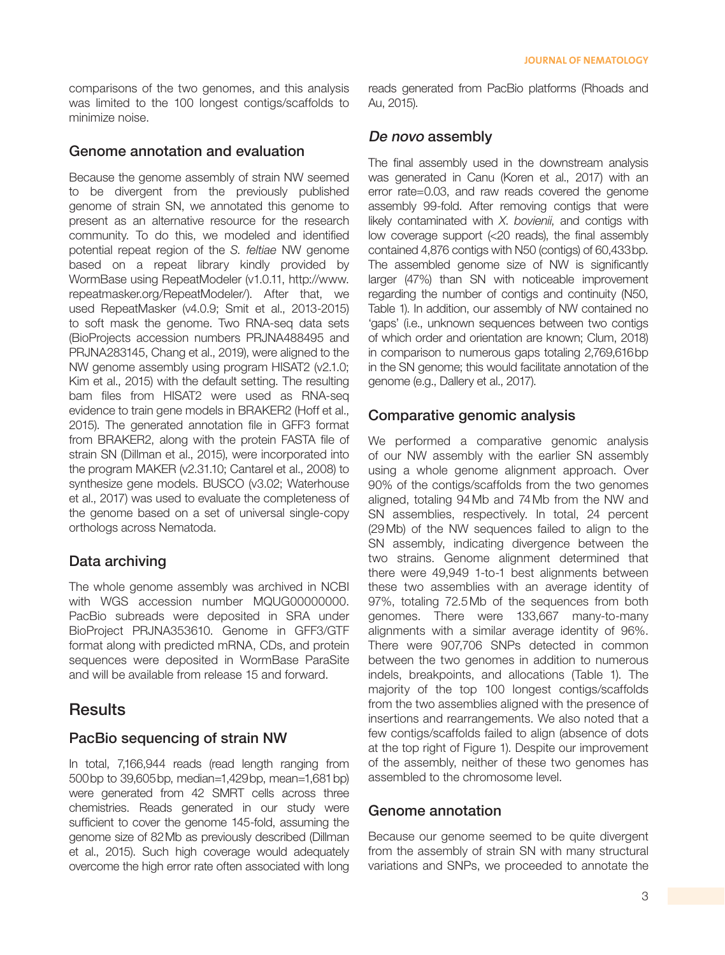comparisons of the two genomes, and this analysis was limited to the 100 longest contigs/scaffolds to minimize noise.

#### Genome annotation and evaluation

Because the genome assembly of strain NW seemed to be divergent from the previously published genome of strain SN, we annotated this genome to present as an alternative resource for the research community. To do this, we modeled and identified potential repeat region of the *S. feltiae* NW genome based on a repeat library kindly provided by WormBase using RepeatModeler (v1.0.11, http://www. repeatmasker.org/RepeatModeler/). After that, we used RepeatMasker (v4.0.9; Smit et al., 2013-2015) to soft mask the genome. Two RNA-seq data sets (BioProjects accession numbers PRJNA488495 and PRJNA283145, Chang et al., 2019), were aligned to the NW genome assembly using program HISAT2 (v2.1.0; Kim et al., 2015) with the default setting. The resulting bam files from HISAT2 were used as RNA-seq evidence to train gene models in BRAKER2 (Hoff et al., 2015). The generated annotation file in GFF3 format from BRAKER2, along with the protein FASTA file of strain SN (Dillman et al., 2015), were incorporated into the program MAKER (v2.31.10; Cantarel et al., 2008) to synthesize gene models. BUSCO (v3.02; Waterhouse et al., 2017) was used to evaluate the completeness of the genome based on a set of universal single-copy orthologs across Nematoda.

#### Data archiving

The whole genome assembly was archived in NCBI with WGS accession number MQUG00000000. PacBio subreads were deposited in SRA under BioProject PRJNA353610. Genome in GFF3/GTF format along with predicted mRNA, CDs, and protein sequences were deposited in WormBase ParaSite and will be available from release 15 and forward.

#### **Results**

#### PacBio sequencing of strain NW

In total, 7,166,944 reads (read length ranging from 500bp to 39,605bp, median=1,429bp, mean=1,681bp) were generated from 42 SMRT cells across three chemistries. Reads generated in our study were sufficient to cover the genome 145-fold, assuming the genome size of 82Mb as previously described (Dillman et al., 2015). Such high coverage would adequately overcome the high error rate often associated with long reads generated from PacBio platforms (Rhoads and Au, 2015).

#### De novo assembly

The final assembly used in the downstream analysis was generated in Canu (Koren et al., 2017) with an error rate=0.03, and raw reads covered the genome assembly 99-fold. After removing contigs that were likely contaminated with *X*. *bovienii*, and contigs with low coverage support (<20 reads), the final assembly contained 4,876 contigs with N50 (contigs) of 60,433bp. The assembled genome size of NW is significantly larger (47%) than SN with noticeable improvement regarding the number of contigs and continuity (N50, Table 1). In addition, our assembly of NW contained no 'gaps' (i.e., unknown sequences between two contigs of which order and orientation are known; Clum, 2018) in comparison to numerous gaps totaling 2,769,616bp in the SN genome; this would facilitate annotation of the genome (e.g., Dallery et al., 2017).

#### Comparative genomic analysis

We performed a comparative genomic analysis of our NW assembly with the earlier SN assembly using a whole genome alignment approach. Over 90% of the contigs/scaffolds from the two genomes aligned, totaling 94Mb and 74Mb from the NW and SN assemblies, respectively. In total, 24 percent (29Mb) of the NW sequences failed to align to the SN assembly, indicating divergence between the two strains. Genome alignment determined that there were 49,949 1-to-1 best alignments between these two assemblies with an average identity of 97%, totaling 72.5Mb of the sequences from both genomes. There were 133,667 many-to-many alignments with a similar average identity of 96%. There were 907,706 SNPs detected in common between the two genomes in addition to numerous indels, breakpoints, and allocations (Table 1). The majority of the top 100 longest contigs/scaffolds from the two assemblies aligned with the presence of insertions and rearrangements. We also noted that a few contigs/scaffolds failed to align (absence of dots at the top right of Figure 1). Despite our improvement of the assembly, neither of these two genomes has assembled to the chromosome level.

#### Genome annotation

Because our genome seemed to be quite divergent from the assembly of strain SN with many structural variations and SNPs, we proceeded to annotate the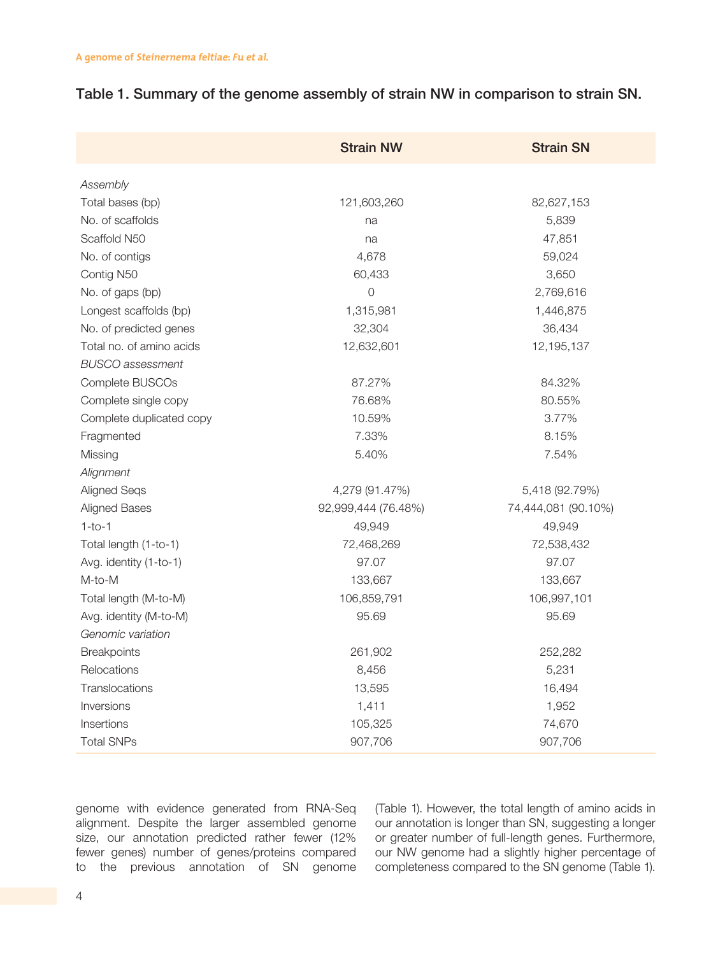|  |  |  | Table 1. Summary of the genome assembly of strain NW in comparison to strain SN. |  |
|--|--|--|----------------------------------------------------------------------------------|--|
|--|--|--|----------------------------------------------------------------------------------|--|

|                          | <b>Strain NW</b>    | <b>Strain SN</b>    |
|--------------------------|---------------------|---------------------|
| Assembly                 |                     |                     |
| Total bases (bp)         | 121,603,260         | 82,627,153          |
| No. of scaffolds         | na                  | 5,839               |
| Scaffold N50             | na                  | 47,851              |
| No. of contigs           | 4,678               | 59,024              |
| Contig N50               | 60,433              | 3,650               |
| No. of gaps (bp)         | $\overline{O}$      | 2,769,616           |
| Longest scaffolds (bp)   | 1,315,981           | 1,446,875           |
| No. of predicted genes   | 32,304              | 36,434              |
| Total no. of amino acids | 12,632,601          | 12,195,137          |
| <b>BUSCO</b> assessment  |                     |                     |
| Complete BUSCOs          | 87.27%              | 84.32%              |
| Complete single copy     | 76.68%              | 80.55%              |
| Complete duplicated copy | 10.59%              | 3.77%               |
| Fragmented               | 7.33%               | 8.15%               |
| Missing                  | 5.40%               | 7.54%               |
| Alignment                |                     |                     |
| Aligned Seqs             | 4,279 (91.47%)      | 5,418 (92.79%)      |
| <b>Aligned Bases</b>     | 92,999,444 (76.48%) | 74,444,081 (90.10%) |
| $1-to-1$                 | 49,949              | 49,949              |
| Total length (1-to-1)    | 72,468,269          | 72,538,432          |
| Avg. identity (1-to-1)   | 97.07               | 97.07               |
| M-to-M                   | 133,667             | 133,667             |
| Total length (M-to-M)    | 106,859,791         | 106,997,101         |
| Avg. identity (M-to-M)   | 95.69               | 95.69               |
| Genomic variation        |                     |                     |
| Breakpoints              | 261,902             | 252,282             |
| Relocations              | 8,456               | 5,231               |
| Translocations           | 13,595              | 16,494              |
| Inversions               | 1,411               | 1,952               |
| Insertions               | 105,325             | 74,670              |
| <b>Total SNPs</b>        | 907,706             | 907,706             |

genome with evidence generated from RNA-Seq alignment. Despite the larger assembled genome size, our annotation predicted rather fewer (12% fewer genes) number of genes/proteins compared to the previous annotation of SN genome (Table 1). However, the total length of amino acids in our annotation is longer than SN, suggesting a longer or greater number of full-length genes. Furthermore, our NW genome had a slightly higher percentage of completeness compared to the SN genome (Table 1).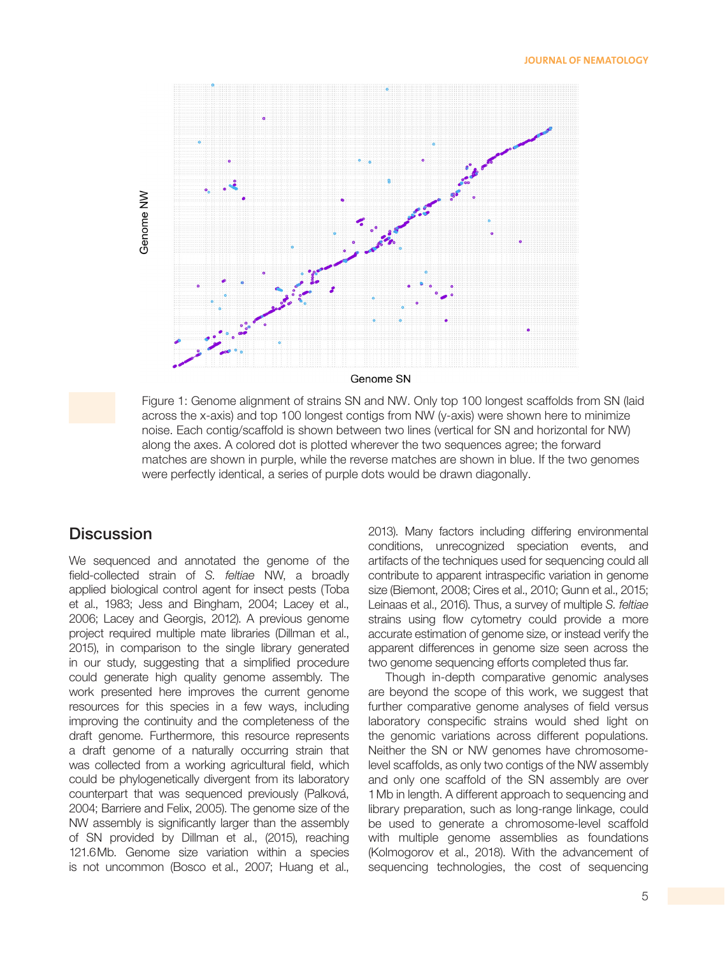

Figure 1: Genome alignment of strains SN and NW. Only top 100 longest scaffolds from SN (laid across the x-axis) and top 100 longest contigs from NW (y-axis) were shown here to minimize noise. Each contig/scaffold is shown between two lines (vertical for SN and horizontal for NW) along the axes. A colored dot is plotted wherever the two sequences agree; the forward matches are shown in purple, while the reverse matches are shown in blue. If the two genomes were perfectly identical, a series of purple dots would be drawn diagonally.

#### **Discussion**

We sequenced and annotated the genome of the field-collected strain of *S. feltiae* NW, a broadly applied biological control agent for insect pests (Toba et al., 1983; Jess and Bingham, 2004; Lacey et al., 2006; Lacey and Georgis, 2012). A previous genome project required multiple mate libraries (Dillman et al., 2015), in comparison to the single library generated in our study, suggesting that a simplified procedure could generate high quality genome assembly. The work presented here improves the current genome resources for this species in a few ways, including improving the continuity and the completeness of the draft genome. Furthermore, this resource represents a draft genome of a naturally occurring strain that was collected from a working agricultural field, which could be phylogenetically divergent from its laboratory counterpart that was sequenced previously (Palková, 2004; Barriere and Felix, 2005). The genome size of the NW assembly is significantly larger than the assembly of SN provided by Dillman et al., (2015), reaching 121.6Mb. Genome size variation within a species is not uncommon (Bosco et al., 2007; Huang et al.,

2013). Many factors including differing environmental conditions, unrecognized speciation events, and artifacts of the techniques used for sequencing could all contribute to apparent intraspecific variation in genome size (Biemont, 2008; Cires et al., 2010; Gunn et al., 2015; Leinaas et al., 2016). Thus, a survey of multiple *S. feltiae* strains using flow cytometry could provide a more accurate estimation of genome size, or instead verify the apparent differences in genome size seen across the two genome sequencing efforts completed thus far.

Though in-depth comparative genomic analyses are beyond the scope of this work, we suggest that further comparative genome analyses of field versus laboratory conspecific strains would shed light on the genomic variations across different populations. Neither the SN or NW genomes have chromosomelevel scaffolds, as only two contigs of the NW assembly and only one scaffold of the SN assembly are over 1Mb in length. A different approach to sequencing and library preparation, such as long-range linkage, could be used to generate a chromosome-level scaffold with multiple genome assemblies as foundations (Kolmogorov et al., 2018). With the advancement of sequencing technologies, the cost of sequencing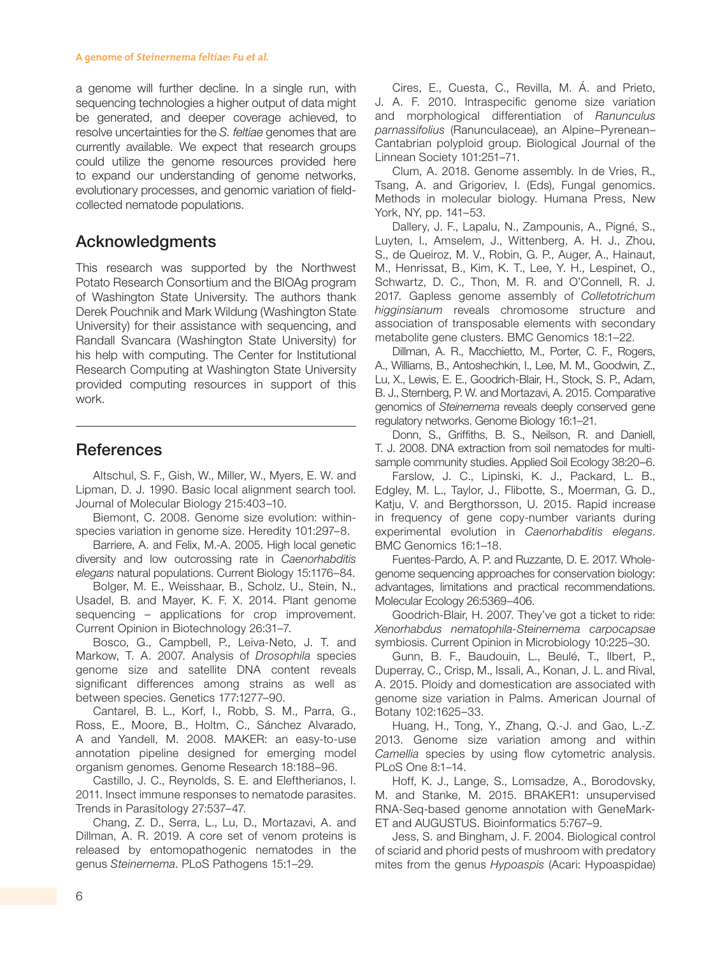#### **A genome of Steinernema feltiae: Fu et al.**

a genome will further decline. In a single run, with sequencing technologies a higher output of data might be generated, and deeper coverage achieved, to resolve uncertainties for the *S. feltiae* genomes that are currently available. We expect that research groups could utilize the genome resources provided here to expand our understanding of genome networks, evolutionary processes, and genomic variation of fieldcollected nematode populations.

### Acknowledgments

This research was supported by the Northwest Potato Research Consortium and the BIOAg program of Washington State University. The authors thank Derek Pouchnik and Mark Wildung (Washington State University) for their assistance with sequencing, and Randall Svancara (Washington State University) for his help with computing. The Center for Institutional Research Computing at Washington State University provided computing resources in support of this work.

### References

Altschul, S. F., Gish, W., Miller, W., Myers, E. W. and Lipman, D. J. 1990. Basic local alignment search tool. Journal of Molecular Biology 215:403–10.

Biemont, C. 2008. Genome size evolution: withinspecies variation in genome size. Heredity 101:297–8.

Barriere, A. and Felix, M.-A. 2005. High local genetic diversity and low outcrossing rate in *Caenorhabditis elegans* natural populations. Current Biology 15:1176–84.

Bolger, M. E., Weisshaar, B., Scholz, U., Stein, N., Usadel, B. and Mayer, K. F. X. 2014. Plant genome sequencing – applications for crop improvement. Current Opinion in Biotechnology 26:31–7.

Bosco, G., Campbell, P., Leiva-Neto, J. T. and Markow, T. A. 2007. Analysis of *Drosophila* species genome size and satellite DNA content reveals significant differences among strains as well as between species. Genetics 177:1277–90.

Cantarel, B. L., Korf, I., Robb, S. M., Parra, G., Ross, E., Moore, B., Holtm, C., Sánchez Alvarado, A and Yandell, M. 2008. MAKER: an easy-to-use annotation pipeline designed for emerging model organism genomes. Genome Research 18:188–96.

Castillo, J. C., Reynolds, S. E. and Eleftherianos, I. 2011. Insect immune responses to nematode parasites. Trends in Parasitology 27:537–47.

Chang, Z. D., Serra, L., Lu, D., Mortazavi, A. and Dillman, A. R. 2019. A core set of venom proteins is released by entomopathogenic nematodes in the genus *Steinernema*. PLoS Pathogens 15:1–29.

Cires, E., Cuesta, C., Revilla, M. Á. and Prieto, J. A. F. 2010. Intraspecific genome size variation and morphological differentiation of *Ranunculus parnassifolius* (Ranunculaceae), an Alpine–Pyrenean– Cantabrian polyploid group. Biological Journal of the Linnean Society 101:251–71.

Clum, A. 2018. Genome assembly. In de Vries, R., Tsang, A. and Grigoriev, I. (Eds), Fungal genomics. Methods in molecular biology. Humana Press, New York, NY, pp. 141–53.

Dallery, J. F., Lapalu, N., Zampounis, A., Pigné, S., Luyten, I., Amselem, J., Wittenberg, A. H. J., Zhou, S., de Queiroz, M. V., Robin, G. P., Auger, A., Hainaut, M., Henrissat, B., Kim, K. T., Lee, Y. H., Lespinet, O., Schwartz, D. C., Thon, M. R. and O'Connell, R. J. 2017. Gapless genome assembly of *Colletotrichum higginsianum* reveals chromosome structure and association of transposable elements with secondary metabolite gene clusters. BMC Genomics 18:1–22.

Dillman, A. R., Macchietto, M., Porter, C. F., Rogers, A., Williams, B., Antoshechkin, I., Lee, M. M., Goodwin, Z., Lu, X., Lewis, E. E., Goodrich-Blair, H., Stock, S. P., Adam, B. J., Sternberg, P. W. and Mortazavi, A. 2015. Comparative genomics of *Steinernema* reveals deeply conserved gene regulatory networks. Genome Biology 16:1–21.

Donn, S., Griffiths, B. S., Neilson, R. and Daniell, T. J. 2008. DNA extraction from soil nematodes for multisample community studies. Applied Soil Ecology 38:20–6.

Farslow, J. C., Lipinski, K. J., Packard, L. B., Edgley, M. L., Taylor, J., Flibotte, S., Moerman, G. D., Katju, V. and Bergthorsson, U. 2015. Rapid increase in frequency of gene copy-number variants during experimental evolution in *Caenorhabditis elegans*. BMC Genomics 16:1–18.

Fuentes-Pardo, A. P. and Ruzzante, D. E. 2017. Wholegenome sequencing approaches for conservation biology: advantages, limitations and practical recommendations. Molecular Ecology 26:5369–406.

Goodrich-Blair, H. 2007. They've got a ticket to ride: *Xenorhabdus nematophila-Steinernema carpocapsae* symbiosis. Current Opinion in Microbiology 10:225–30.

Gunn, B. F., Baudouin, L., Beulé, T., Ilbert, P., Duperray, C., Crisp, M., Issali, A., Konan, J. L. and Rival, A. 2015. Ploidy and domestication are associated with genome size variation in Palms. American Journal of Botany 102:1625–33.

Huang, H., Tong, Y., Zhang, Q.-J. and Gao, L.-Z. 2013. Genome size variation among and within *Camellia* species by using flow cytometric analysis. PLoS One 8:1–14.

Hoff, K. J., Lange, S., Lomsadze, A., Borodovsky, M. and Stanke, M. 2015. BRAKER1: unsupervised RNA-Seq-based genome annotation with GeneMark-ET and AUGUSTUS. Bioinformatics 5:767–9.

Jess, S. and Bingham, J. F. 2004. Biological control of sciarid and phorid pests of mushroom with predatory mites from the genus *Hypoaspis* (Acari: Hypoaspidae)